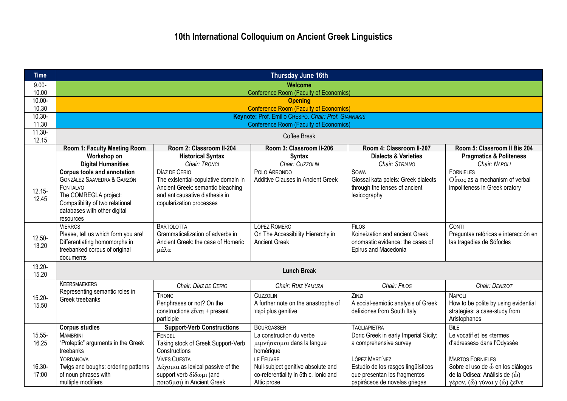| <b>Time</b>        | Thursday June 16th                                                                                                                                                                                      |                                                                                                                                                          |                                                                                                         |                                                                                                                       |                                                                                                                                                                                                                 |  |  |
|--------------------|---------------------------------------------------------------------------------------------------------------------------------------------------------------------------------------------------------|----------------------------------------------------------------------------------------------------------------------------------------------------------|---------------------------------------------------------------------------------------------------------|-----------------------------------------------------------------------------------------------------------------------|-----------------------------------------------------------------------------------------------------------------------------------------------------------------------------------------------------------------|--|--|
| $9.00 -$           | <b>Welcome</b>                                                                                                                                                                                          |                                                                                                                                                          |                                                                                                         |                                                                                                                       |                                                                                                                                                                                                                 |  |  |
| 10.00<br>10.00-    |                                                                                                                                                                                                         |                                                                                                                                                          | <b>Conference Room (Faculty of Economics)</b><br><b>Opening</b>                                         |                                                                                                                       |                                                                                                                                                                                                                 |  |  |
| 10.30              |                                                                                                                                                                                                         |                                                                                                                                                          | <b>Conference Room (Faculty of Economics)</b>                                                           |                                                                                                                       |                                                                                                                                                                                                                 |  |  |
| $\overline{10.30}$ |                                                                                                                                                                                                         |                                                                                                                                                          | Keynote: Prof. Emilio CRESPO. Chair: Prof. GIANNAKIS                                                    |                                                                                                                       |                                                                                                                                                                                                                 |  |  |
| 11.30              |                                                                                                                                                                                                         |                                                                                                                                                          | <b>Conference Room (Faculty of Economics)</b>                                                           |                                                                                                                       |                                                                                                                                                                                                                 |  |  |
| $11.30 -$<br>12.15 |                                                                                                                                                                                                         | Coffee Break                                                                                                                                             |                                                                                                         |                                                                                                                       |                                                                                                                                                                                                                 |  |  |
|                    | Room 1: Faculty Meeting Room                                                                                                                                                                            | Room 2: Classroom II-204                                                                                                                                 | Room 3: Classroom II-206                                                                                | Room 4: Classroom II-207                                                                                              | Room 5: Classroom II Bis 204                                                                                                                                                                                    |  |  |
|                    | Workshop on<br><b>Digital Humanities</b>                                                                                                                                                                | <b>Historical Syntax</b><br>Chair: TRONCI                                                                                                                | <b>Syntax</b><br>Chair: CUZZOLIN                                                                        | <b>Dialects &amp; Varieties</b><br>Chair: STRIANO                                                                     | <b>Pragmatics &amp; Politeness</b><br>Chair: NAPOLI                                                                                                                                                             |  |  |
| $12.15 -$<br>12.45 | <b>Corpus tools and annotation</b><br><b>GONZÁLEZ SAAVEDRA &amp; GARZÓN</b><br><b>FONTALVO</b><br>The COMREGLA project:<br>Compatibility of two relational<br>databases with other digital<br>resources | DÍAZ DE CERIO<br>The existential-copulative domain in<br>Ancient Greek: semantic bleaching<br>and anticausative diathesis in<br>copularization processes | POLO ARRONDO<br><b>Additive Clauses in Ancient Greek</b>                                                | <b>SOWA</b><br>Glossai kata poleis: Greek dialects<br>through the lenses of ancient<br>lexicography                   | <b>FORNIELES</b><br>Ούτος as a mechanism of verbal<br>impoliteness in Greek oratory                                                                                                                             |  |  |
| $12.50 -$<br>13.20 | <b>VIERROS</b><br>Please, tell us which form you are!<br>Differentiating homomorphs in<br>treebanked corpus of original<br>documents                                                                    | <b>BARTOLOTTA</b><br>Grammaticalization of adverbs in<br>Ancient Greek: the case of Homeric<br>μάλα                                                      | LÓPEZ ROMERO<br>On The Accessibility Hierarchy in<br><b>Ancient Greek</b>                               | <b>FILOS</b><br>Koineization and ancient Greek<br>onomastic evidence: the cases of<br>Epirus and Macedonia            | <b>CONTI</b><br>Preguntas retóricas e interacción en<br>las tragedias de Sófocles                                                                                                                               |  |  |
| $13.20 -$<br>15.20 | <b>Lunch Break</b>                                                                                                                                                                                      |                                                                                                                                                          |                                                                                                         |                                                                                                                       |                                                                                                                                                                                                                 |  |  |
|                    | <b>KEERSMAEKERS</b>                                                                                                                                                                                     | Chair: DÍAZ DE CERIO                                                                                                                                     | Chair: RUIZ YAMUZA                                                                                      | Chair: FILOS                                                                                                          | Chair: DENIZOT                                                                                                                                                                                                  |  |  |
| 15.20-<br>15.50    | Representing semantic roles in<br>Greek treebanks                                                                                                                                                       | TRONCI<br>Periphrases or not? On the<br>constructions $\varepsilon\tilde{\text{t}}\text{v}\alpha\text{t}$ + present<br>participle                        | <b>CUZZOLIN</b><br>A further note on the anastrophe of<br>περί plus genitive                            | ZINZI<br>A social-semiotic analysis of Greek<br>defixiones from South Italy                                           | <b>NAPOLI</b><br>How to be polite by using evidential<br>strategies: a case-study from<br>Aristophanes                                                                                                          |  |  |
| 15.55-<br>16.25    | <b>Corpus studies</b><br><b>MAMBRINI</b><br>"Proleptic" arguments in the Greek<br>treebanks                                                                                                             | <b>Support-Verb Constructions</b><br>FENDEL<br>Taking stock of Greek Support-Verb<br>Constructions                                                       | <b>BOURGASSER</b><br>La construction du verbe<br>μιμνήσκομαι dans la langue<br>homérique                | <b>TAGLIAPIETRA</b><br>Doric Greek in early Imperial Sicily:<br>a comprehensive survey                                | <b>BILE</b><br>Le vocatif et les «termes<br>d'adresses» dans l'Odyssée                                                                                                                                          |  |  |
| 16.30-<br>17:00    | <b>YORDANOVA</b><br>Twigs and boughs: ordering patterns<br>of noun phrases with<br>multiple modifiers                                                                                                   | <b>VIVES CUESTA</b><br>$Δέχομαι$ as lexical passive of the<br>support verb δίδωμι (and<br>$ποιούμαι)$ in Ancient Greek                                   | LE FEUVRE<br>Null-subject genitive absolute and<br>co-referentiality in 5th c. Ionic and<br>Attic prose | LÓPEZ MARTÍNEZ<br>Estudio de los rasgos lingüísticos<br>que presentan los fragmentos<br>papiráceos de novelas griegas | <b>MARTOS FORNIELES</b><br>Sobre el uso de $\tilde{\omega}$ en los diálogos<br>de la Odisea: Análisis de $(\tilde{\omega})$<br>γέρον, $\left(\tilde{\omega}\right)$ γύναι γ $\left(\tilde{\omega}\right)$ ξεΐνε |  |  |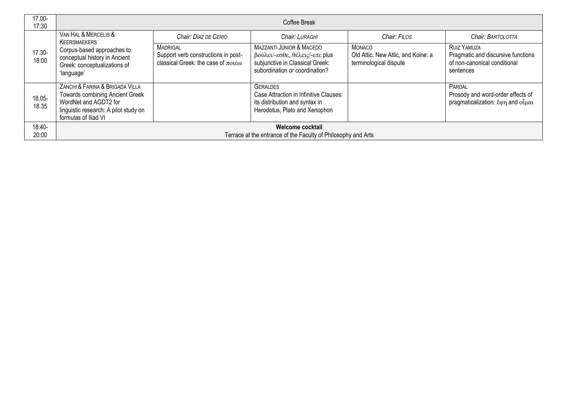| 17.00-<br>17:30 | Coffee Break                                                                                                                                                        |                                                                                                   |                                                                                                                                 |                                                                               |                                                                                                       |
|-----------------|---------------------------------------------------------------------------------------------------------------------------------------------------------------------|---------------------------------------------------------------------------------------------------|---------------------------------------------------------------------------------------------------------------------------------|-------------------------------------------------------------------------------|-------------------------------------------------------------------------------------------------------|
| 17.30-<br>18:00 | VAN HAL & MERCELIS &<br>KEERSMAEKERS                                                                                                                                | Chair: DÍAZ DE CERIO                                                                              | Chair: LURAGHI                                                                                                                  | Chair: FILOS                                                                  | Chair: BARTOLOTTA                                                                                     |
|                 | Corpus-based approaches to<br>conceptual history in Ancient<br>Greek: conceptualizations of<br>'language'                                                           | <b>MADRIGAL</b><br>Support verb constructions in post-<br>classical Greek: the case of $\pi$ otéo | MAZZANTI JÚNIOR & MACEDO<br>βούλει/-εσθε, θέλεις/-ετε plus<br>subjunctive in Classical Greek:<br>subordination or coordination? | <b>MONACO</b><br>Old Attic, New Attic, and Koine: a<br>terminological dispute | <b>RUIZ YAMUZA</b><br>Pragmatic and discursive functions<br>of non-canonical conditional<br>sentences |
| 18.05-<br>18.35 | ZANCHI & FARINA & BRIGADA VILLA<br><b>Towards combining Ancient Greek</b><br>WordNet and AGDT2 for<br>linguistic research: A pilot study on<br>formulas of Iliad VI |                                                                                                   | GERALDES<br>Case Attraction in Infinitive Clauses:<br>its distribution and syntax in<br>Herodotus, Plato and Xenophon           |                                                                               | PARDAL<br>Prosody and word-order effects of<br>pragmaticalization: έφη and οἶμαι                      |
| 18:40-<br>20:00 | Welcome cocktail<br>Terrace at the entrance of the Faculty of Philosophy and Arts                                                                                   |                                                                                                   |                                                                                                                                 |                                                                               |                                                                                                       |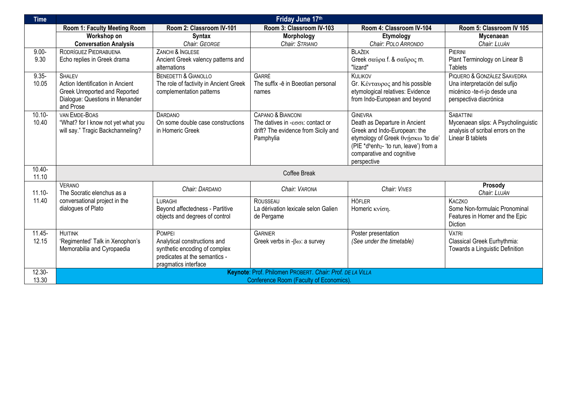| <b>Time</b>        | Friday June 17th                                                                                                                   |                                                                                                                                  |                                                                                                                                   |                                                                                                                                                                                                            |                                                                                                                        |  |
|--------------------|------------------------------------------------------------------------------------------------------------------------------------|----------------------------------------------------------------------------------------------------------------------------------|-----------------------------------------------------------------------------------------------------------------------------------|------------------------------------------------------------------------------------------------------------------------------------------------------------------------------------------------------------|------------------------------------------------------------------------------------------------------------------------|--|
|                    | Room 1: Faculty Meeting Room                                                                                                       | Room 2: Classroom IV-101                                                                                                         | Room 3: Classroom IV-103                                                                                                          | Room 4: Classroom IV-104                                                                                                                                                                                   | Room 5: Classroom IV 105                                                                                               |  |
|                    | Workshop on                                                                                                                        | <b>Syntax</b>                                                                                                                    | Morphology                                                                                                                        | Etymology                                                                                                                                                                                                  | Mycenaean                                                                                                              |  |
|                    | <b>Conversation Analysis</b>                                                                                                       | Chair: GEORGE                                                                                                                    | Chair: STRIANO                                                                                                                    | Chair: POLO ARRONDO                                                                                                                                                                                        | Chair: LUJÁN                                                                                                           |  |
| $9.00 -$<br>9.30   | RODRÍGUEZ PIEDRABUENA<br>Echo replies in Greek drama                                                                               | ZANCHI & INGLESE<br>Ancient Greek valency patterns and<br>alternations                                                           |                                                                                                                                   | <b>BLAŽEK</b><br>Greek σαύρα f. & σαύρος m.<br>"lizard"                                                                                                                                                    | PIERINI<br>Plant Terminology on Linear B<br><b>Tablets</b>                                                             |  |
| $9.35 -$<br>10.05  | <b>SHALEV</b><br>Action Identification in Ancient<br>Greek Unreported and Reported<br>Dialogue: Questions in Menander<br>and Prose | <b>BENEDETTI &amp; GIANOLLO</b><br>The role of factivity in Ancient Greek<br>complementation patterns                            | GARRÉ<br>The suffix -ē in Boeotian personal<br>names                                                                              | KULIKOV<br>Gr. Κένταυρος and his possible<br>etymological relatives: Evidence<br>from Indo-European and beyond                                                                                             | PIQUERO & GONZÁLEZ SAAVEDRA<br>Una interpretación del sufijo<br>micénico -te-ri-jo desde una<br>perspectiva diacrónica |  |
| $10.10 -$<br>10.40 | VAN EMDE-BOAS<br>"What? for I know not yet what you<br>will say." Tragic Backchanneling?                                           | <b>DARDANO</b><br>On some double case constructions<br>in Homeric Greek                                                          | CAPANO & BIANCONI<br>The datives in - $\epsilon \sigma \sigma t$ : contact or<br>drift? The evidence from Sicily and<br>Pamphylia | <b>GINEVRA</b><br>Death as Departure in Ancient<br>Greek and Indo-European: the<br>etymology of Greek θνήσκω 'to die'<br>(PIE *dhenh2- 'to run, leave') from a<br>comparative and cognitive<br>perspective | <b>SABATTINI</b><br>Mycenaean slips: A Psycholinguistic<br>analysis of scribal errors on the<br>Linear B tablets       |  |
| $10.40 -$<br>11.10 | Coffee Break                                                                                                                       |                                                                                                                                  |                                                                                                                                   |                                                                                                                                                                                                            |                                                                                                                        |  |
| $11.10 -$          | <b>VERANO</b><br>The Socratic elenchus as a                                                                                        | Chair: DARDANO                                                                                                                   | Chair: VARONA                                                                                                                     | Chair: VIVES                                                                                                                                                                                               | Prosody<br>Chair: LUJÁN                                                                                                |  |
| 11.40              | conversational project in the<br>dialogues of Plato                                                                                | LURAGHI<br>Beyond affectedness - Partitive<br>objects and degrees of control                                                     | ROUSSEAU<br>La dérivation lexicale selon Galien<br>de Pergame                                                                     | <b>HÖFLER</b><br>Homeric κνίση.                                                                                                                                                                            | KACZKO<br>Some Non-formulaic Pronominal<br>Features in Homer and the Epic<br><b>Diction</b>                            |  |
| $11.45 -$<br>12.15 | <b>HUITINK</b><br>'Regimented' Talk in Xenophon's<br>Memorabilia and Cyropaedia                                                    | POMPEI<br>Analytical constructions and<br>synthetic encoding of complex<br>predicates at the semantics -<br>pragmatics interface | <b>GARNIER</b><br>Greek verbs in $-\beta\omega$ : a survey                                                                        | Poster presentation<br>(See under the timetable)                                                                                                                                                           | <b>VATRI</b><br>Classical Greek Eurhythmia:<br>Towards a Linguistic Definition                                         |  |
| $12.30 -$<br>13.30 | Keynote: Prof. Philomen PROBERT. Chair: Prof. DE LA VILLA<br><b>Conference Room (Faculty of Economics)</b>                         |                                                                                                                                  |                                                                                                                                   |                                                                                                                                                                                                            |                                                                                                                        |  |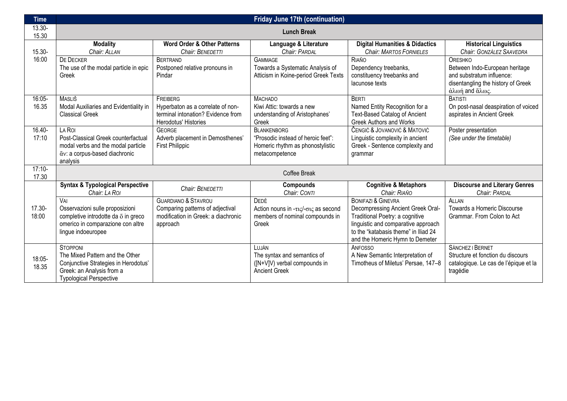| <b>Time</b>       | <b>Friday June 17th (continuation)</b>                                                                                                                    |                                                                                                                       |                                                                                                                |                                                                                                                                                                                                                         |                                                                                                                                       |  |
|-------------------|-----------------------------------------------------------------------------------------------------------------------------------------------------------|-----------------------------------------------------------------------------------------------------------------------|----------------------------------------------------------------------------------------------------------------|-------------------------------------------------------------------------------------------------------------------------------------------------------------------------------------------------------------------------|---------------------------------------------------------------------------------------------------------------------------------------|--|
| 13.30-<br>15.30   | <b>Lunch Break</b>                                                                                                                                        |                                                                                                                       |                                                                                                                |                                                                                                                                                                                                                         |                                                                                                                                       |  |
| 15.30-            | <b>Modality</b><br>Chair: ALLAN                                                                                                                           | <b>Word Order &amp; Other Patterns</b><br>Chair: BENEDETTI                                                            | Language & Literature<br>Chair: PARDAL                                                                         | <b>Digital Humanities &amp; Didactics</b><br><b>Chair: MARTOS FORNIELES</b>                                                                                                                                             | <b>Historical Linguistics</b><br>Chair: GONZÁLEZ SAAVEDRA                                                                             |  |
| 16:00             | <b>DE DECKER</b><br>The use of the modal particle in epic<br>Greek                                                                                        | <b>BERTRAND</b><br>Postponed relative pronouns in<br>Pindar                                                           | <b>GAMMAGE</b><br>Towards a Systematic Analysis of<br>Atticism in Koine-period Greek Texts                     | RIAÑO<br>Dependency treebanks,<br>constituency treebanks and<br>lacunose texts                                                                                                                                          | <b>ORESHKO</b><br>Between Indo-European heritage<br>and substratum influence:<br>disentangling the history of Greek<br>άλωή and ἅλως. |  |
| 16:05-<br>16.35   | <b>MASLIŠ</b><br>Modal Auxiliaries and Evidentiality in<br><b>Classical Greek</b>                                                                         | FREIBERG<br>Hyperbaton as a correlate of non-<br>terminal intonation? Evidence from<br>Herodotus' Histories           | <b>MACHADO</b><br>Kiwi Attic: towards a new<br>understanding of Aristophanes'<br>Greek                         | <b>BERTI</b><br>Named Entity Recognition for a<br><b>Text-Based Catalog of Ancient</b><br><b>Greek Authors and Works</b>                                                                                                | <b>BATISTI</b><br>On post-nasal deaspiration of voiced<br>aspirates in Ancient Greek                                                  |  |
| 16.40-<br>17:10   | LA ROI<br>Post-Classical Greek counterfactual<br>modal verbs and the modal particle<br>ἄν: a corpus-based diachronic<br>analysis                          | <b>GEORGE</b><br>Adverb placement in Demosthenes'<br><b>First Philippic</b>                                           | <b>BLANKENBORG</b><br>"Prosodic instead of heroic feet":<br>Homeric rhythm as phonostylistic<br>metacompetence | ČENGIĆ & JOVANOVIĆ & MATOVIĆ<br>Linguistic complexity in ancient<br>Greek - Sentence complexity and<br>grammar                                                                                                          | Poster presentation<br>(See under the timetable)                                                                                      |  |
| $17:10-$<br>17.30 | Coffee Break                                                                                                                                              |                                                                                                                       |                                                                                                                |                                                                                                                                                                                                                         |                                                                                                                                       |  |
|                   | <b>Syntax &amp; Typological Perspective</b><br>Chair: LA ROI                                                                                              | Chair: BENEDETTI                                                                                                      | Compounds<br>Chair: CONTI                                                                                      | <b>Cognitive &amp; Metaphors</b><br>Chair: RIAÑO                                                                                                                                                                        | <b>Discourse and Literary Genres</b><br>Chair: PARDAL                                                                                 |  |
| 17.30-<br>18:00   | VAI<br>Osservazioni sulle proposizioni<br>completive introdotte da $\ddot{\text{o}}$ in greco<br>omerico in comparazione con altre<br>lingue indoeuropee  | <b>GUARDIANO &amp; STAVROU</b><br>Comparing patterns of adjectival<br>modification in Greek: a diachronic<br>approach | DEDÈ<br>Action nouns in -τις/-σις as second<br>members of nominal compounds in<br>Greek                        | <b>BONIFAZI &amp; GINEVRA</b><br>Decompressing Ancient Greek Oral-<br>Traditional Poetry: a cognitive<br>linguistic and comparative approach<br>to the "katabasis theme" in Iliad 24<br>and the Homeric Hymn to Demeter | <b>ALLAN</b><br><b>Towards a Homeric Discourse</b><br>Grammar. From Colon to Act                                                      |  |
| 18:05-<br>18.35   | <b>STOPPONI</b><br>The Mixed Pattern and the Other<br>Conjunctive Strategies in Herodotus'<br>Greek: an Analysis from a<br><b>Typological Perspective</b> |                                                                                                                       | LUJÁN<br>The syntax and semantics of<br>([N+V]V) verbal compounds in<br><b>Ancient Greek</b>                   | <b>ANFOSSO</b><br>A New Semantic Interpretation of<br>Timotheus of Miletus' Persae, 147-8                                                                                                                               | SÁNCHEZ I BERNET<br>Structure et fonction du discours<br>catalogique. Le cas de l'épique et la<br>tragédie                            |  |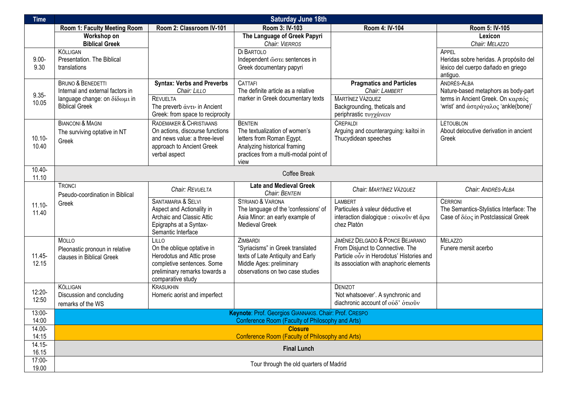| <b>Time</b>        | <b>Saturday June 18th</b>                                                                                                  |                                                                                                                                                           |                                                                                                                                                               |                                                                                                                                                             |                                                                                                                                 |  |
|--------------------|----------------------------------------------------------------------------------------------------------------------------|-----------------------------------------------------------------------------------------------------------------------------------------------------------|---------------------------------------------------------------------------------------------------------------------------------------------------------------|-------------------------------------------------------------------------------------------------------------------------------------------------------------|---------------------------------------------------------------------------------------------------------------------------------|--|
|                    | Room 1: Faculty Meeting Room                                                                                               | Room 2: Classroom IV-101                                                                                                                                  | Room 3: IV-103                                                                                                                                                | Room 4: IV-104                                                                                                                                              | Room 5: IV-105                                                                                                                  |  |
|                    | Workshop on<br><b>Biblical Greek</b>                                                                                       |                                                                                                                                                           | The Language of Greek Papyri<br>Chair: VIERROS                                                                                                                |                                                                                                                                                             | Lexicon<br>Chair: MELAZZO                                                                                                       |  |
| $9.00 -$<br>9.30   | <b>KÖLLIGAN</b><br>Presentation. The Biblical<br>translations                                                              |                                                                                                                                                           | DI BARTOLO<br>Independent ώστε sentences in<br>Greek documentary papyri                                                                                       |                                                                                                                                                             | <b>APPEL</b><br>Heridas sobre heridas. A propósito del<br>léxico del cuerpo dañado en griego<br>antiguo.                        |  |
| $9.35 -$<br>10.05  | <b>BRUNO &amp; BENEDETTI</b><br>Internal and external factors in<br>language change: on δίδωμι in<br><b>Biblical Greek</b> | <b>Syntax: Verbs and Preverbs</b><br>Chair: LILLO<br><b>REVUELTA</b><br>The preverb $\dot{\alpha}v\tau$ u- in Ancient<br>Greek: from space to reciprocity | <b>CATTAFI</b><br>The definite article as a relative<br>marker in Greek documentary texts                                                                     | <b>Pragmatics and Particles</b><br>Chair: LAMBERT<br><b>MARTÍNEZ VÁZQUEZ</b><br>Backgrounding, theticals and<br>periphrastic τυγχάνειν                      | ANDRÉS-ALBA<br>Nature-based metaphors as body-part<br>terms in Ancient Greek. Οη καρπός<br>'wrist' and άστράγαλος 'ankle(bone)' |  |
| $10.10 -$<br>10.40 | <b>BIANCONI &amp; MAGNI</b><br>The surviving optative in NT<br>Greek                                                       | RADEMAKER & CHRISTIAANS<br>On actions, discourse functions<br>and news value: a three-level<br>approach to Ancient Greek<br>verbal aspect                 | <b>BENTEIN</b><br>The textualization of women's<br>letters from Roman Egypt.<br>Analyzing historical framing<br>practices from a multi-modal point of<br>view | CREPALDI<br>Arguing and counterarguing: kaítoi in<br>Thucydidean speeches                                                                                   | LÉTOUBLON<br>About delocutive derivation in ancient<br>Greek                                                                    |  |
| $10.40 -$<br>11.10 | Coffee Break                                                                                                               |                                                                                                                                                           |                                                                                                                                                               |                                                                                                                                                             |                                                                                                                                 |  |
|                    | TRONCI<br>Pseudo-coordination in Biblical                                                                                  | Chair: REVUELTA                                                                                                                                           | <b>Late and Medieval Greek</b><br><b>Chair: BENTEIN</b>                                                                                                       | Chair: MARTÍNEZ VÁZQUEZ                                                                                                                                     | Chair: ANDRÉS-ALBA                                                                                                              |  |
| $11.10 -$<br>11.40 | Greek                                                                                                                      | SANTAMARIA & SELVI<br>Aspect and Actionality in<br>Archaic and Classic Attic<br>Epigraphs at a Syntax-<br>Semantic Interface                              | STRIANO & VARONA<br>The language of the 'confessions' of<br>Asia Minor: an early example of<br><b>Medieval Greek</b>                                          | LAMBERT<br>Particules à valeur déductive et<br>interaction dialogique : ούκοῦν et ἄρα<br>chez Platón                                                        | <b>CERRONI</b><br>The Semantics-Stylistics Interface: The<br>Case of $\delta\acute{e}$ oc in Postclassical Greek                |  |
| $11.45 -$<br>12.15 | <b>MOLLO</b><br>Pleonastic pronoun in relative<br>clauses in Biblical Greek                                                | LILLO<br>On the oblique optative in<br>Herodotus and Attic prose<br>completive sentences. Some<br>preliminary remarks towards a<br>comparative study      | ZIMBARDI<br>"Syriacisms" in Greek translated<br>texts of Late Antiquity and Early<br>Middle Ages: preliminary<br>observations on two case studies             | JIMÉNEZ DELGADO & PONCE BEJARANO<br>From Disjunct to Connective. The<br>Particle ovv in Herodotus' Histories and<br>its association with anaphoric elements | <b>MELAZZO</b><br>Funere mersit acerbo                                                                                          |  |
| 12:20-<br>12:50    | <b>KÖLLIGAN</b><br>Discussion and concluding<br>remarks of the WS                                                          | <b>KRASUKHIN</b><br>Homeric aorist and imperfect                                                                                                          |                                                                                                                                                               | DENIZOT<br>'Not whatsoever'. A synchronic and<br>diachronic account of ούδ' ότιοῦν                                                                          |                                                                                                                                 |  |
| 13:00-<br>14:00    | Keynote: Prof. Georgios GIANNAKIS. Chair: Prof. CRESPO<br>Conference Room (Faculty of Philosophy and Arts)                 |                                                                                                                                                           |                                                                                                                                                               |                                                                                                                                                             |                                                                                                                                 |  |
| 14.00-<br>14:15    | <b>Closure</b><br>Conference Room (Faculty of Philosophy and Arts)                                                         |                                                                                                                                                           |                                                                                                                                                               |                                                                                                                                                             |                                                                                                                                 |  |
| $14.15 -$<br>16.15 | <b>Final Lunch</b>                                                                                                         |                                                                                                                                                           |                                                                                                                                                               |                                                                                                                                                             |                                                                                                                                 |  |
| 17:00-<br>19.00    | Tour through the old quarters of Madrid                                                                                    |                                                                                                                                                           |                                                                                                                                                               |                                                                                                                                                             |                                                                                                                                 |  |